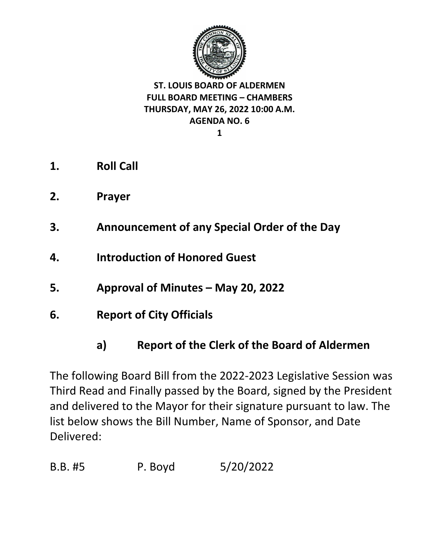

**1**

- **1. Roll Call**
- **2. Prayer**
- **3. Announcement of any Special Order of the Day**
- **4. Introduction of Honored Guest**
- **5. Approval of Minutes – May 20, 2022**
- **6. Report of City Officials** 
	- **a) Report of the Clerk of the Board of Aldermen**

The following Board Bill from the 2022-2023 Legislative Session was Third Read and Finally passed by the Board, signed by the President and delivered to the Mayor for their signature pursuant to law. The list below shows the Bill Number, Name of Sponsor, and Date Delivered:

B.B. #5 P. Boyd 5/20/2022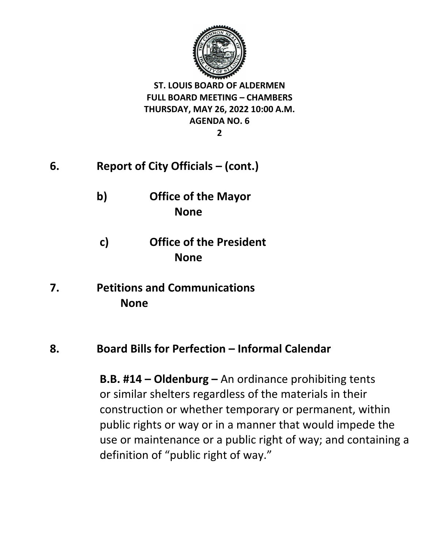

**2**

- **6. Report of City Officials – (cont.)**
	- **b) Office of the Mayor None**
	- **c) Office of the President None**
- **7. Petitions and Communications None**

## **8. Board Bills for Perfection – Informal Calendar**

**B.B. #14 – Oldenburg –** An ordinance prohibiting tents or similar shelters regardless of the materials in their construction or whether temporary or permanent, within public rights or way or in a manner that would impede the use or maintenance or a public right of way; and containing a definition of "public right of way."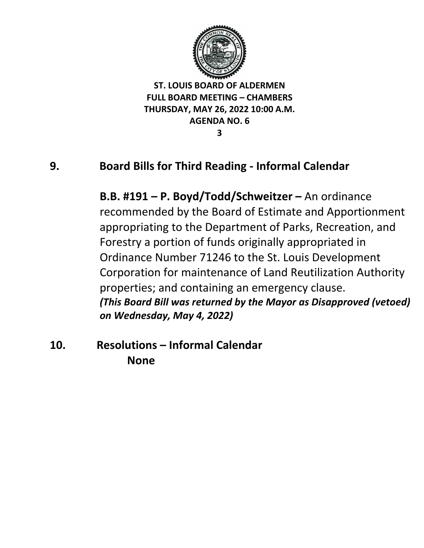

**3**

## **9. Board Bills for Third Reading - Informal Calendar**

**B.B. #191 – P. Boyd/Todd/Schweitzer –** An ordinance recommended by the Board of Estimate and Apportionment appropriating to the Department of Parks, Recreation, and Forestry a portion of funds originally appropriated in Ordinance Number 71246 to the St. Louis Development Corporation for maintenance of Land Reutilization Authority properties; and containing an emergency clause. *(This Board Bill was returned by the Mayor as Disapproved (vetoed) on Wednesday, May 4, 2022)*

**10. Resolutions – Informal Calendar None**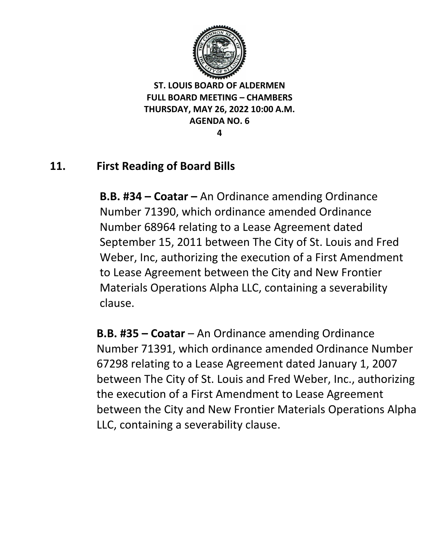

**4**

## **11. First Reading of Board Bills**

**B.B. #34 – Coatar –** An Ordinance amending Ordinance Number 71390, which ordinance amended Ordinance Number 68964 relating to a Lease Agreement dated September 15, 2011 between The City of St. Louis and Fred Weber, Inc, authorizing the execution of a First Amendment to Lease Agreement between the City and New Frontier Materials Operations Alpha LLC, containing a severability clause.

**B.B. #35 – Coatar** – An Ordinance amending Ordinance Number 71391, which ordinance amended Ordinance Number 67298 relating to a Lease Agreement dated January 1, 2007 between The City of St. Louis and Fred Weber, Inc., authorizing the execution of a First Amendment to Lease Agreement between the City and New Frontier Materials Operations Alpha LLC, containing a severability clause.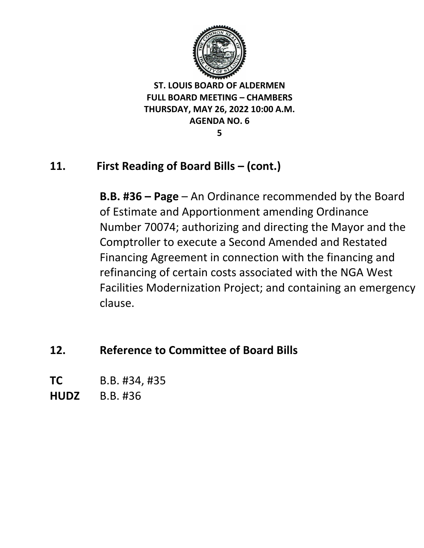

**5**

## **11. First Reading of Board Bills – (cont.)**

**B.B. #36 – Page** – An Ordinance recommended by the Board of Estimate and Apportionment amending Ordinance Number 70074; authorizing and directing the Mayor and the Comptroller to execute a Second Amended and Restated Financing Agreement in connection with the financing and refinancing of certain costs associated with the NGA West Facilities Modernization Project; and containing an emergency clause.

**12. Reference to Committee of Board Bills** 

**TC** B.B. #34, #35

**HUDZ** B.B. #36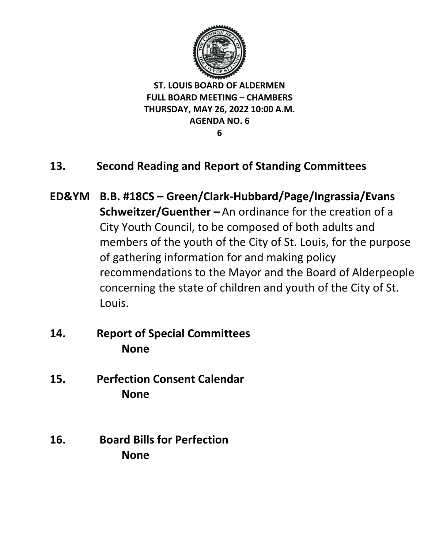

**6**

- **13. Second Reading and Report of Standing Committees**
- **ED&YM B.B. #18CS – Green/Clark-Hubbard/Page/Ingrassia/Evans Schweitzer/Guenther –** An ordinance for the creation of a City Youth Council, to be composed of both adults and members of the youth of the City of St. Louis, for the purpose of gathering information for and making policy recommendations to the Mayor and the Board of Alderpeople concerning the state of children and youth of the City of St. Louis.
- **14. Report of Special Committees None**
- **15. Perfection Consent Calendar None**
- **16. Board Bills for Perfection None**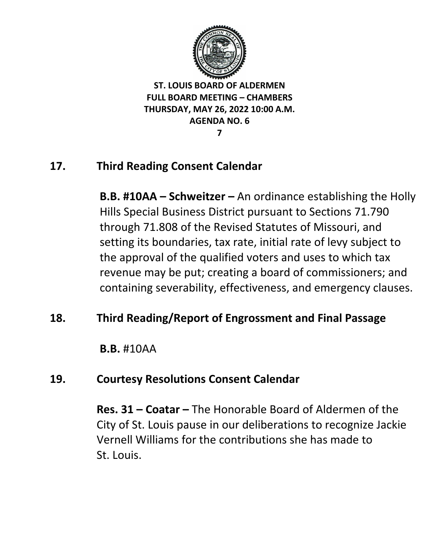

**7**

## **17. Third Reading Consent Calendar**

**B.B. #10AA – Schweitzer –** An ordinance establishing the Holly Hills Special Business District pursuant to Sections 71.790 through 71.808 of the Revised Statutes of Missouri, and setting its boundaries, tax rate, initial rate of levy subject to the approval of the qualified voters and uses to which tax revenue may be put; creating a board of commissioners; and containing severability, effectiveness, and emergency clauses.

## **18. Third Reading/Report of Engrossment and Final Passage**

**B.B.** #10AA

## **19. Courtesy Resolutions Consent Calendar**

**Res. 31 – Coatar –** The Honorable Board of Aldermen of the City of St. Louis pause in our deliberations to recognize Jackie Vernell Williams for the contributions she has made to St. Louis.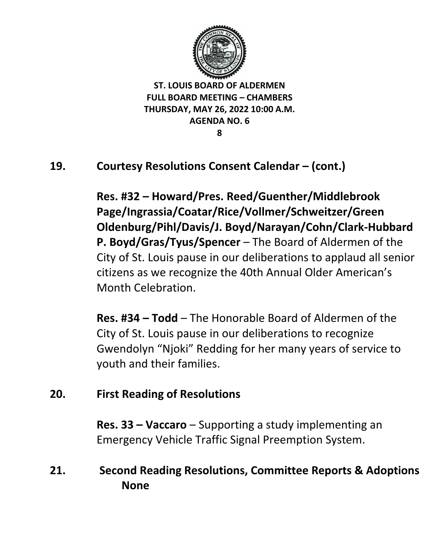

**8**

## **19. Courtesy Resolutions Consent Calendar – (cont.)**

**Res. #32 – Howard/Pres. Reed/Guenther/Middlebrook Page/Ingrassia/Coatar/Rice/Vollmer/Schweitzer/Green Oldenburg/Pihl/Davis/J. Boyd/Narayan/Cohn/Clark-Hubbard P. Boyd/Gras/Tyus/Spencer** – The Board of Aldermen of the City of St. Louis pause in our deliberations to applaud all senior citizens as we recognize the 40th Annual Older American's Month Celebration.

**Res. #34 – Todd** – The Honorable Board of Aldermen of the City of St. Louis pause in our deliberations to recognize Gwendolyn "Njoki" Redding for her many years of service to youth and their families.

## **20. First Reading of Resolutions**

**Res. 33 – Vaccaro** – Supporting a study implementing an Emergency Vehicle Traffic Signal Preemption System.

## **21. Second Reading Resolutions, Committee Reports & Adoptions None**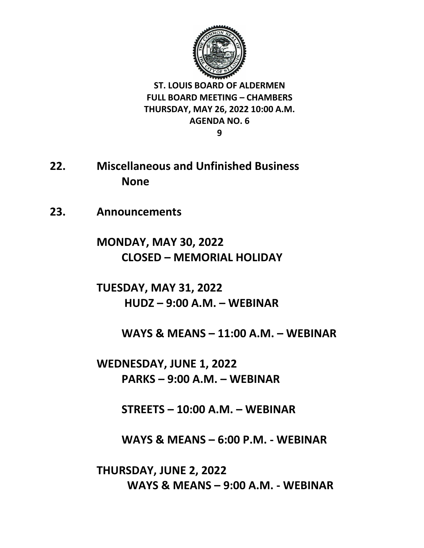

**9**

- **22. Miscellaneous and Unfinished Business None**
- **23. Announcements**

**MONDAY, MAY 30, 2022 CLOSED – MEMORIAL HOLIDAY**

**TUESDAY, MAY 31, 2022 HUDZ – 9:00 A.M. – WEBINAR**

**WAYS & MEANS – 11:00 A.M. – WEBINAR** 

**WEDNESDAY, JUNE 1, 2022 PARKS – 9:00 A.M. – WEBINAR** 

**STREETS – 10:00 A.M. – WEBINAR** 

**WAYS & MEANS – 6:00 P.M. - WEBINAR**

**THURSDAY, JUNE 2, 2022 WAYS & MEANS – 9:00 A.M. - WEBINAR**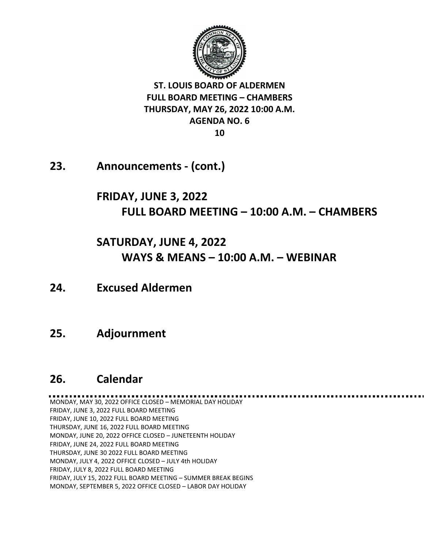

**23. Announcements - (cont.)**

## **FRIDAY, JUNE 3, 2022 FULL BOARD MEETING – 10:00 A.M. – CHAMBERS**

# **SATURDAY, JUNE 4, 2022 WAYS & MEANS – 10:00 A.M. – WEBINAR**

**24. Excused Aldermen**

## **25. Adjournment**

## **26. Calendar**

MONDAY, MAY 30, 2022 OFFICE CLOSED – MEMORIAL DAY HOLIDAY FRIDAY, JUNE 3, 2022 FULL BOARD MEETING FRIDAY, JUNE 10, 2022 FULL BOARD MEETING THURSDAY, JUNE 16, 2022 FULL BOARD MEETING MONDAY, JUNE 20, 2022 OFFICE CLOSED – JUNETEENTH HOLIDAY FRIDAY, JUNE 24, 2022 FULL BOARD MEETING THURSDAY, JUNE 30 2022 FULL BOARD MEETING MONDAY, JULY 4, 2022 OFFICE CLOSED – JULY 4th HOLIDAY FRIDAY, JULY 8, 2022 FULL BOARD MEETING FRIDAY, JULY 15, 2022 FULL BOARD MEETING – SUMMER BREAK BEGINS MONDAY, SEPTEMBER 5, 2022 OFFICE CLOSED – LABOR DAY HOLIDAY